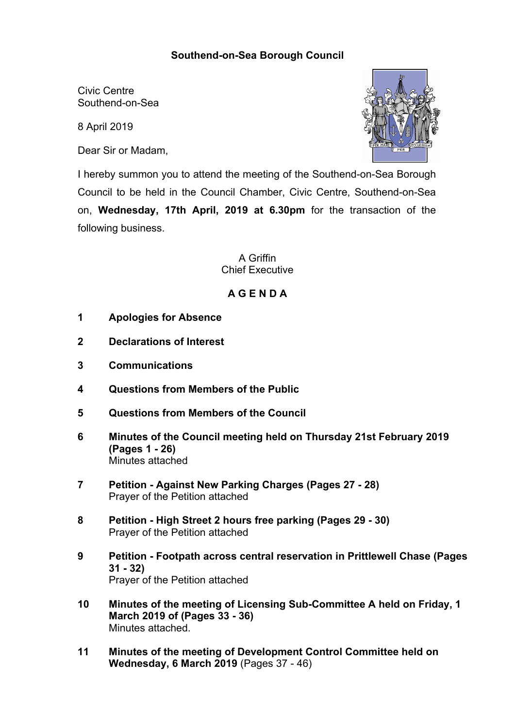## **Southend-on-Sea Borough Council**

Civic Centre Southend-on-Sea

8 April 2019

Dear Sir or Madam,



I hereby summon you to attend the meeting of the Southend-on-Sea Borough Council to be held in the Council Chamber, Civic Centre, Southend-on-Sea on, **Wednesday, 17th April, 2019 at 6.30pm** for the transaction of the following business.

> A Griffin Chief Executive

## **A G E N D A**

- **1 Apologies for Absence**
- **2 Declarations of Interest**
- **3 Communications**
- **4 Questions from Members of the Public**
- **5 Questions from Members of the Council**
- **6 Minutes of the Council meeting held on Thursday 21st February 2019 (Pages 1 - 26)** Minutes attached
- **7 Petition - Against New Parking Charges (Pages 27 - 28)** Prayer of the Petition attached
- **8 Petition - High Street 2 hours free parking (Pages 29 - 30)** Prayer of the Petition attached
- **9 Petition - Footpath across central reservation in Prittlewell Chase (Pages 31 - 32)** Prayer of the Petition attached
- **10 Minutes of the meeting of Licensing Sub-Committee A held on Friday, 1 March 2019 of (Pages 33 - 36)** Minutes attached.
- **11 Minutes of the meeting of Development Control Committee held on Wednesday, 6 March 2019** (Pages 37 - 46)